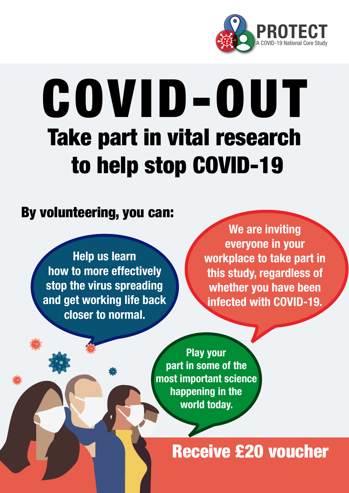

# COVID-OUT Take part in vital research to help stop COVID-19

### By volunteering, you can:

Help us learn how to more effectively stop the virus spreading and get working life back closer to normal.

We are inviting everyone in your workplace to take part in this study, regardless of whether you have been infected with COVID-19.

Play your part in some of the most important science happening in the world today.

## Receive £20 voucher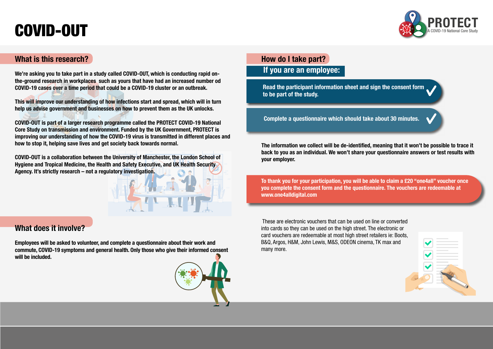



#### What is this research?

We're asking you to take part in a study called COVID-OUT, which is conducting rapid onthe-ground research in workplaces such as yours that have had an increased number od COVID-19 cases over a time period that could be a COVID-19 cluster or an outbreak.

This will improve our understanding of how infections start and spread, which will in turn help us advise government and businesses on how to prevent them as the UK unlocks.

COVID-OUT is part of a larger research programme called the PROTECT COVID-19 National Core Study on transmission and environment. Funded by the UK Government, PROTECT is improving our understanding of how the COVID-19 virus is transmitted in different places and how to stop it, helping save lives and get society back towards normal.

COVID-OUT is a collaboration between the University of Manchester, the London School of Hygiene and Tropical Medicine, the Health and Safety Executive, and UK Health Security Agency. It's strictly research – not a regulatory investigation.

#### What does it involve?

Employees will be asked to volunteer, and complete a questionnaire about their work and commute, COVID-19 symptoms and general health. Only those who give their informed consent will be included.



# COVID-OUT

The information we collect will be de-identified, meaning that it won't be possible to trace it back to you as an individual. We won't share your questionnaire answers or test results with your employer.

#### How do I take part? If you are an employee:

Complete a questionnaire which should take about 30 minutes.

Read the participant information sheet and sign the consent form to be part of the study.

To thank you for your participation, you will be able to claim a £20 "one4all" voucher once you complete the consent form and the questionnaire. The vouchers are redeemable at www.one4alldigital.com

 These are electronic vouchers that can be used on line or converted into cards so they can be used on the high street. The electronic or card vouchers are redeemable at most high street retailers ie: Boots, B&Q, Argos, H&M, John Lewis, M&S, ODEON cinema, TK max and many more.